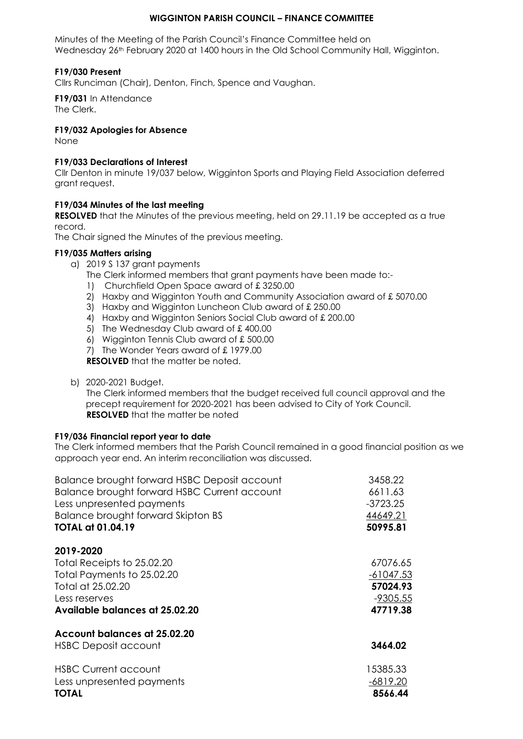# **WIGGINTON PARISH COUNCIL – FINANCE COMMITTEE**

Minutes of the Meeting of the Parish Council's Finance Committee held on Wednesday 26<sup>th</sup> February 2020 at 1400 hours in the Old School Community Hall, Wigginton.

# **F19/030 Present**

Cllrs Runciman (Chair), Denton, Finch, Spence and Vaughan.

**F19/031** In Attendance The Clerk.

## **F19/032 Apologies for Absence**

None

## **F19/033 Declarations of Interest**

Cllr Denton in minute 19/037 below, Wigginton Sports and Playing Field Association deferred grant request.

## **F19/034 Minutes of the last meeting**

**RESOLVED** that the Minutes of the previous meeting, held on 29.11.19 be accepted as a true record.

The Chair signed the Minutes of the previous meeting.

#### **F19/035 Matters arising**

a) 2019 S 137 grant payments

The Clerk informed members that grant payments have been made to:-

- 1) Churchfield Open Space award of £ 3250.00
- 2) Haxby and Wigginton Youth and Community Association award of £5070.00
- 3) Haxby and Wigginton Luncheon Club award of £ 250.00
- 4) Haxby and Wigginton Seniors Social Club award of £200.00
- 5) The Wednesday Club award of £ 400.00
- 6) Wigginton Tennis Club award of £ 500.00
- 7) The Wonder Years award of £ 1979.00

**RESOLVED** that the matter be noted.

b) 2020-2021 Budget.

The Clerk informed members that the budget received full council approval and the precept requirement for 2020-2021 has been advised to City of York Council. **RESOLVED** that the matter be noted

# **F19/036 Financial report year to date**

The Clerk informed members that the Parish Council remained in a good financial position as we approach year end. An interim reconciliation was discussed.

| Balance brought forward HSBC Deposit account | 3458.22     |
|----------------------------------------------|-------------|
| Balance brought forward HSBC Current account | 6611.63     |
| Less unpresented payments                    | $-3723.25$  |
| Balance brought forward Skipton BS           | 44649.21    |
| <b>TOTAL at 01.04.19</b>                     | 50995.81    |
| 2019-2020                                    |             |
| Total Receipts to 25.02.20                   | 67076.65    |
| Total Payments to 25.02.20                   | $-61047.53$ |
| Total at 25.02.20                            | 57024.93    |
| Less reserves                                | $-9305.55$  |
| Available balances at 25.02.20               | 47719.38    |
| Account balances at 25.02.20                 |             |
| <b>HSBC Deposit account</b>                  | 3464.02     |
| <b>HSBC Current account</b>                  | 15385.33    |
| Less unpresented payments                    | -6819.20    |
| <b>TOTAL</b>                                 | 8566.44     |